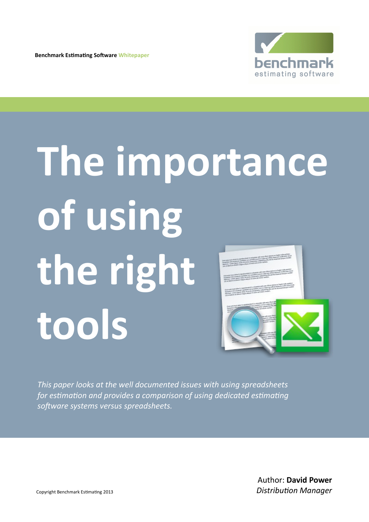**Benchmark Estimating Software Whitepaper**



# **The importance of using the right tools**

*This paper looks at the well documented issues with using spreadsheets for estimation and provides a comparison of using dedicated estimating software systems versus spreadsheets.*

> Author: **David Power** *Distribution Manager*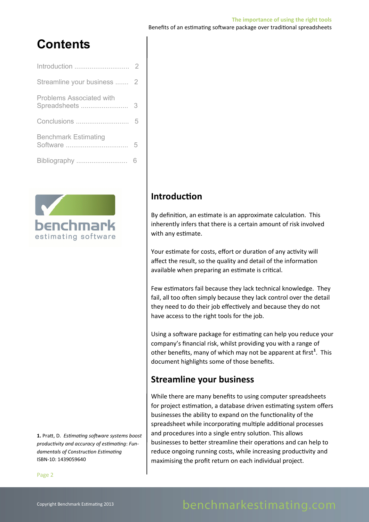# **Contents**

| Introduction                                    | 2 |
|-------------------------------------------------|---|
| Streamline your business                        | 2 |
| <b>Problems Associated with</b><br>Spreadsheets | 3 |
| Conclusions                                     |   |
| <b>Benchmark Estimating</b><br>Software         | 5 |
| Bibliography                                    |   |



**1.** Pratt, D. *Estimating software systems boost productivity and accuracy of estimating*: *Fundamentals of Construction Estimating* ISBN-10: 1439059640

# **Introduction**

By definition, an estimate is an approximate calculation. This inherently infers that there is a certain amount of risk involved with any estimate.

Your estimate for costs, effort or duration of any activity will affect the result, so the quality and detail of the information available when preparing an estimate is critical.

Few estimators fail because they lack technical knowledge. They fail, all too often simply because they lack control over the detail they need to do their job effectively and because they do not have access to the right tools for the job.

Using a software package for estimating can help you reduce your company's financial risk, whilst providing you with a range of other benefits, many of which may not be apparent at first<sup>1</sup>. This document highlights some of those benefits.

# **Streamline your business**

While there are many benefits to using computer spreadsheets for project estimation, a database driven estimating system offers businesses the ability to expand on the functionality of the spreadsheet while incorporating multiple additional processes and procedures into a single entry solution. This allows businesses to better streamline their operations and can help to reduce ongoing running costs, while increasing productivity and maximising the profit return on each individual project.

## Page 2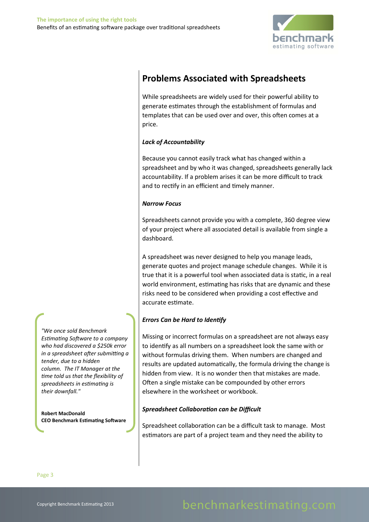

# **Problems Associated with Spreadsheets**

While spreadsheets are widely used for their powerful ability to generate estimates through the establishment of formulas and templates that can be used over and over, this often comes at a price.

## *Lack of Accountability*

Because you cannot easily track what has changed within a spreadsheet and by who it was changed, spreadsheets generally lack accountability. If a problem arises it can be more difficult to track and to rectify in an efficient and timely manner.

## *Narrow Focus*

Spreadsheets cannot provide you with a complete, 360 degree view of your project where all associated detail is available from single a dashboard.

A spreadsheet was never designed to help you manage leads, generate quotes and project manage schedule changes. While it is true that it is a powerful tool when associated data is static, in a real world environment, estimating has risks that are dynamic and these risks need to be considered when providing a cost effective and accurate estimate.

## *Errors Can be Hard to Identify*

Missing or incorrect formulas on a spreadsheet are not always easy to identify as all numbers on a spreadsheet look the same with or without formulas driving them. When numbers are changed and results are updated automatically, the formula driving the change is hidden from view. It is no wonder then that mistakes are made. Often a single mistake can be compounded by other errors elsewhere in the worksheet or workbook.

## *Spreadsheet Collaboration can be Difficult*

Spreadsheet collaboration can be a difficult task to manage. Most estimators are part of a project team and they need the ability to

*"We once sold Benchmark Estimating Software to a company who had discovered a \$250k error in a spreadsheet after submitting a tender, due to a hidden column. The IT Manager at the time told us that the flexibility of spreadsheets in estimating is their downfall."*

**Robert MacDonald CEO Benchmark Estimating Software**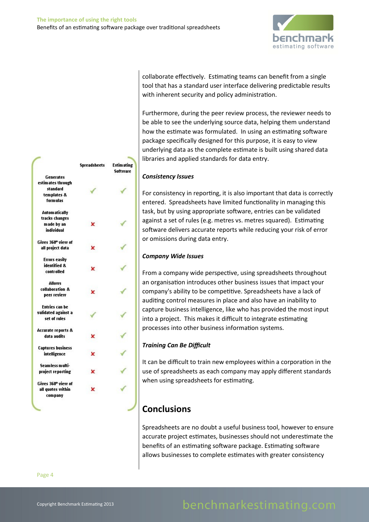

collaborate effectively. Estimating teams can benefit from a single tool that has a standard user interface delivering predictable results with inherent security and policy administration.

Furthermore, during the peer review process, the reviewer needs to be able to see the underlying source data, helping them understand how the estimate was formulated. In using an estimating software package specifically designed for this purpose, it is easy to view underlying data as the complete estimate is built using shared data libraries and applied standards for data entry.

#### *Consistency Issues*

For consistency in reporting, it is also important that data is correctly entered. Spreadsheets have limited functionality in managing this task, but by using appropriate software, entries can be validated against a set of rules (e.g. metres vs. metres squared). Estimating software delivers accurate reports while reducing your risk of error or omissions during data entry.

#### *Company Wide Issues*

From a company wide perspective, using spreadsheets throughout an organisation introduces other business issues that impact your company's ability to be competitive. Spreadsheets have a lack of auditing control measures in place and also have an inability to capture business intelligence, like who has provided the most input into a project. This makes it difficult to integrate estimating processes into other business information systems.

## *Training Can Be Difficult*

It can be difficult to train new employees within a corporation in the use of spreadsheets as each company may apply different standards when using spreadsheets for estimating.

# **Conclusions**

Spreadsheets are no doubt a useful business tool, however to ensure accurate project estimates, businesses should not underestimate the benefits of an estimating software package. Estimating software allows businesses to complete estimates with greater consistency

|                                                                  | <b>Spreadsheets</b> | <b>Estimating</b><br><b>Software</b> |
|------------------------------------------------------------------|---------------------|--------------------------------------|
| <b>Generates</b><br>estimates through<br>standard<br>templates & |                     |                                      |
| formulas                                                         |                     |                                      |
| <b>Automatically</b><br>tracks changes                           |                     |                                      |
| made by an                                                       | ×                   |                                      |
| individual                                                       |                     |                                      |
| Gives 360° view of                                               |                     |                                      |
| all project data                                                 | ×                   |                                      |
| <b>Errors easily</b>                                             |                     |                                      |
| identified &                                                     | x                   |                                      |
| <b>controlled</b>                                                |                     |                                      |
| Allows                                                           |                     |                                      |
| collaboration &                                                  | ×                   |                                      |
| peer review                                                      |                     |                                      |
| <b>Entries can be</b>                                            |                     |                                      |
| validated against a                                              |                     |                                      |
| set of rules                                                     |                     |                                      |
| <b>Accurate reports &amp;</b>                                    |                     |                                      |
| data audits                                                      |                     |                                      |
| <b>Captures business</b>                                         |                     |                                      |
| intelligence                                                     | ĸ                   |                                      |
| Seamless multi-                                                  |                     |                                      |
| project reporting                                                | x                   |                                      |
| Gives 360° view of                                               |                     |                                      |
| all quotes within<br>company                                     | ×                   |                                      |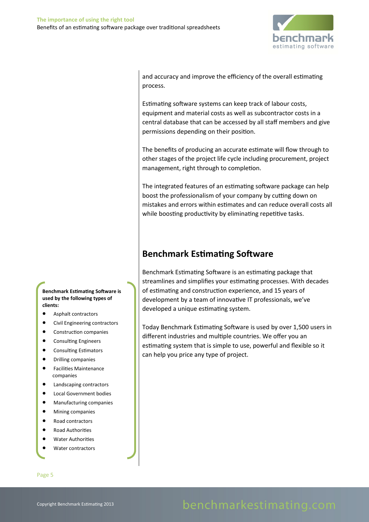

and accuracy and improve the efficiency of the overall estimating process.

Estimating software systems can keep track of labour costs, equipment and material costs as well as subcontractor costs in a central database that can be accessed by all staff members and give permissions depending on their position.

The benefits of producing an accurate estimate will flow through to other stages of the project life cycle including procurement, project management, right through to completion.

The integrated features of an estimating software package can help boost the professionalism of your company by cutting down on mistakes and errors within estimates and can reduce overall costs all while boosting productivity by eliminating repetitive tasks.

# **Benchmark Estimating Software**

Benchmark Estimating Software is an estimating package that streamlines and simplifies your estimating processes. With decades of estimating and construction experience, and 15 years of development by a team of innovative IT professionals, we've developed a unique estimating system.

Today Benchmark Estimating Software is used by over 1,500 users in different industries and multiple countries. We offer you an estimating system that is simple to use, powerful and flexible so it can help you price any type of project.

**Benchmark Estimating Software is used by the following types of clients:**

- Asphalt contractors
- Civil Engineering contractors
- Construction companies
- Consulting Engineers
- Consulting Estimators
- Drilling companies
- Facilities Maintenance companies
- Landscaping contractors
- Local Government bodies
- Manufacturing companies
- Mining companies
- Road contractors
- Road Authorities
- Water Authorities
- Water contractors

#### Page 5